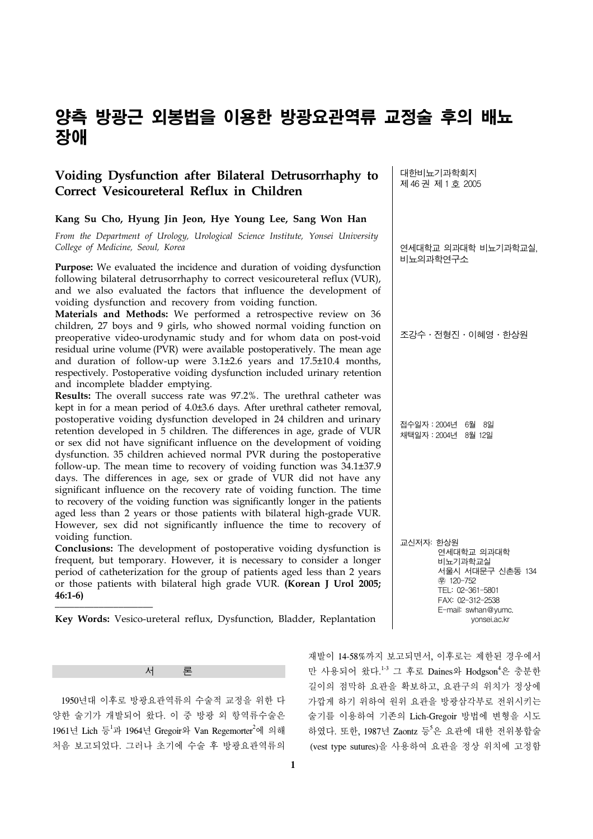# 양측 방광근 외봉법을 이용한 방광요관역류 교정술 후의 배뇨 장애

# **Voiding Dysfunction after Bilateral Detrusorrhaphy to Correct Vesicoureteral Reflux in Children**

## **Kang Su Cho, Hyung Jin Jeon, Hye Young Lee, Sang Won Han**

*From the Department of Urology, Urological Science Institute, Yonsei University College of Medicine, Seoul, Korea*

**Purpose:** We evaluated the incidence and duration of voiding dysfunction following bilateral detrusorrhaphy to correct vesicoureteral reflux (VUR), and we also evaluated the factors that influence the development of voiding dysfunction and recovery from voiding function.

**Materials and Methods:** We performed a retrospective review on 36 children, 27 boys and 9 girls, who showed normal voiding function on preoperative video-urodynamic study and for whom data on post-void residual urine volume (PVR) were available postoperatively. The mean age and duration of follow-up were 3.1±2.6 years and 17.5±10.4 months, respectively. Postoperative voiding dysfunction included urinary retention and incomplete bladder emptying.

**Results:** The overall success rate was 97.2%. The urethral catheter was kept in for a mean period of 4.0±3.6 days. After urethral catheter removal, postoperative voiding dysfunction developed in 24 children and urinary retention developed in 5 children. The differences in age, grade of VUR or sex did not have significant influence on the development of voiding dysfunction. 35 children achieved normal PVR during the postoperative follow-up. The mean time to recovery of voiding function was 34.1±37.9 days. The differences in age, sex or grade of VUR did not have any significant influence on the recovery rate of voiding function. The time to recovery of the voiding function was significantly longer in the patients aged less than 2 years or those patients with bilateral high-grade VUR. However, sex did not significantly influence the time to recovery of voiding function.

**Conclusions:** The development of postoperative voiding dysfunction is frequent, but temporary. However, it is necessary to consider a longer period of catheterization for the group of patients aged less than 2 years or those patients with bilateral high grade VUR. **(Korean J Urol 2005; 46:1-6)**

**Key Words:** Vesico-ureteral reflux, Dysfunction, Bladder, Replantation

대한비뇨기과학회지 제 46 권 제 1 호 2005

연세대학교 의과대학 비뇨기과학교실, 비뇨의과학연구소

조강수․전형진․이혜영․한상원

접수일자:2004년 6월 8일 채택일자:2004년 8월 12일

교신저자: 한상원 연세대학교 의과대학 비뇨기과학교실 서울시 서대문구 신촌동 134 ꂕ 120-752 TEL: 02-361-5801 FAX: 02-312-2538 E-mail: swhan@yumc. yonsei.ac.kr

서 론

 1950년대 이후로 방광요관역류의 수술적 교정을 위한 다 양한 술기가 개발되어 왔다. 이 중 방광 외 항역류수술은 1961년 Lich 등<sup>1</sup>과 1964년 Gregoir와 Van Regemorter<sup>2</sup>에 의해 처음 보고되었다. 그러나 초기에 수술 후 방광요관역류의

재발이 14-58%까지 보고되면서, 이후로는 제한된 경우에서 만 사용되어 왔다.<sup>1-3</sup> 그 후로 Daines와 Hodgson<sup>4</sup>은 충분한 길이의 점막하 요관을 확보하고, 요관구의 위치가 정상에 가깝게 하기 위하여 원위 요관을 방광삼각부로 전위시키는 술기를 이용하여 기존의 Lich-Gregoir 방법에 변형을 시도 하였다. 또한, 1987년 Zaontz 등<sup>5</sup>은 요관에 대한 전위봉합술 (vest type sutures)을 사용하여 요관을 정상 위치에 고정함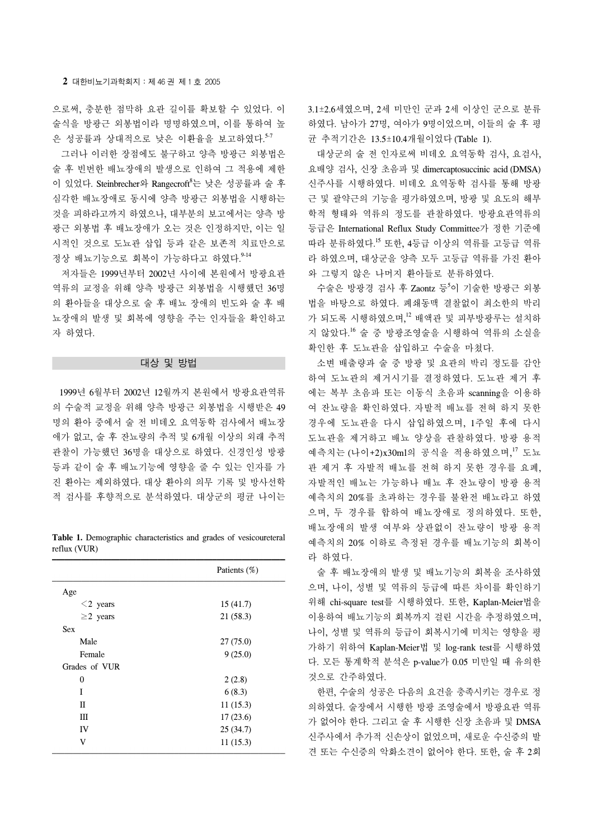으로써, 충분한 점막하 요관 길이를 확보할 수 있었다. 이 술식을 방광근 외봉법이라 명명하였으며, 이를 통하여 높 은 성공률과 상대적으로 낮은 이환율을 보고하였다. 5-7

 그러나 이러한 장점에도 불구하고 양측 방광근 외봉법은 술 후 빈번한 배뇨장애의 발생으로 인하여 그 적용에 제한 이 있었다. Steinbrecher와 Rangecroft<sup>8</sup>는 낮은 성공률과 술 후 심각한 배뇨장애로 동시에 양측 방광근 외봉법을 시행하는 것을 피하라고까지 하였으나, 대부분의 보고에서는 양측 방 광근 외봉법 후 배뇨장애가 오는 것은 인정하지만, 이는 일 시적인 것으로 도뇨관 삽입 등과 같은 보존적 치료만으로 정상 배뇨기능으로 회복이 가능하다고 하였다. 9-14

 저자들은 1999년부터 2002년 사이에 본원에서 방광요관 역류의 교정을 위해 양측 방광근 외봉법을 시행했던 36명 의 환아들을 대상으로 술 후 배뇨 장애의 빈도와 술 후 배 뇨장애의 발생 및 회복에 영향을 주는 인자들을 확인하고 자 하였다.

### 대상 및 방법

 1999년 6월부터 2002년 12월까지 본원에서 방광요관역류 의 수술적 교정을 위해 양측 방광근 외봉법을 시행받은 49 명의 환아 중에서 술 전 비데오 요역동학 검사에서 배뇨장 애가 없고, 술 후 잔뇨량의 추적 및 6개월 이상의 외래 추적 관찰이 가능했던 36명을 대상으로 하였다. 신경인성 방광 등과 같이 술 후 배뇨기능에 영향을 줄 수 있는 인자를 가 진 환아는 제외하였다. 대상 환아의 의무 기록 및 방사선학 적 검사를 후향적으로 분석하였다. 대상군의 평균 나이는

**Table 1.** Demographic characteristics and grades of vesicoureteral reflux (VUR)

|                | Patients (%) |  |  |
|----------------|--------------|--|--|
| Age            |              |  |  |
| $\leq$ 2 years | 15(41.7)     |  |  |
| $\geq$ 2 years | 21(58.3)     |  |  |
| <b>Sex</b>     |              |  |  |
| Male           | 27(75.0)     |  |  |
| Female         | 9(25.0)      |  |  |
| Grades of VUR  |              |  |  |
| $\theta$       | 2(2.8)       |  |  |
| T              | 6(8.3)       |  |  |
| Π              | 11(15.3)     |  |  |
| Ш              | 17(23.6)     |  |  |
| IV             | 25(34.7)     |  |  |
| V              | 11(15.3)     |  |  |

3.1±2.6세였으며, 2세 미만인 군과 2세 이상인 군으로 분류 하였다. 남아가 27명, 여아가 9명이었으며, 이들의 술 후 평 균 추적기간은 13.5±10.4개월이었다 (Table 1).

 대상군의 술 전 인자로써 비데오 요역동학 검사, 요검사, 요배양 검사, 신장 초음파 및 dimercaptosuccinic acid (DMSA) 신주사를 시행하였다. 비데오 요역동학 검사를 통해 방광 근 및 괄약근의 기능을 평가하였으며, 방광 및 요도의 해부 학적 형태와 역류의 정도를 관찰하였다. 방광요관역류의 등급은 International Reflux Study Committee가 정한 기준에 따라 분류하였다. <sup>15</sup> 또한, 4등급 이상의 역류를 고등급 역류 라 하였으며, 대상군을 양측 모두 고등급 역류를 가진 환아 와 그렇지 않은 나머지 환아들로 분류하였다.

수술은 방광경 검사 후 Zaontz 등<sup>5</sup>이 기술한 방광근 외봉 법을 바탕으로 하였다. 폐쇄동맥 결찰없이 최소한의 박리 가 되도록 시행하였으며,<sup>12</sup> 배액관 및 피부방광루는 설치하 지 않았다. <sup>16</sup> 술 중 방광조영술을 시행하여 역류의 소실을 확인한 후 도뇨관을 삽입하고 수술을 마쳤다.

 소변 배출량과 술 중 방광 및 요관의 박리 정도를 감안 하여 도뇨관의 제거시기를 결정하였다. 도뇨관 제거 후 에는 복부 초음파 또는 이동식 초음파 scanning을 이용하 여 잔뇨량을 확인하였다. 자발적 배뇨를 전혀 하지 못한 경우에 도뇨관을 다시 삽입하였으며, 1주일 후에 다시 도뇨관을 제거하고 배뇨 양상을 관찰하였다. 방광 용적 예측치는 (나이+2)x30ml의 공식을 적용하였으며,<sup>17</sup> 도뇨 관 제거 후 자발적 배뇨를 전혀 하지 못한 경우를 요폐, 자발적인 배뇨는 가능하나 배뇨 후 잔뇨량이 방광 용적 예측치의 20%를 초과하는 경우를 불완전 배뇨라고 하였 으며, 두 경우를 합하여 배뇨장애로 정의하였다. 또한, 배뇨장애의 발생 여부와 상관없이 잔뇨량이 방광 용적 예측치의 20% 이하로 측정된 경우를 배뇨기능의 회복이 라 하였다.

 술 후 배뇨장애의 발생 및 배뇨기능의 회복을 조사하였 으며, 나이, 성별 및 역류의 등급에 따른 차이를 확인하기 위해 chi-square test를 시행하였다. 또한, Kaplan-Meier법을 이용하여 배뇨기능의 회복까지 걸린 시간을 추정하였으며, 나이, 성별 및 역류의 등급이 회복시기에 미치는 영향을 평 가하기 위하여 Kaplan-Meier법 및 log-rank test를 시행하였 다. 모든 통계학적 분석은 p-value가 0.05 미만일 때 유의한 것으로 간주하였다.

 한편, 수술의 성공은 다음의 요건을 충족시키는 경우로 정 의하였다. 술장에서 시행한 방광 조영술에서 방광요관 역류 가 없어야 한다. 그리고 술 후 시행한 신장 초음파 및 DMSA 신주사에서 추가적 신손상이 없었으며, 새로운 수신증의 발 견 또는 수신증의 악화소견이 없어야 한다. 또한, 술 후 2회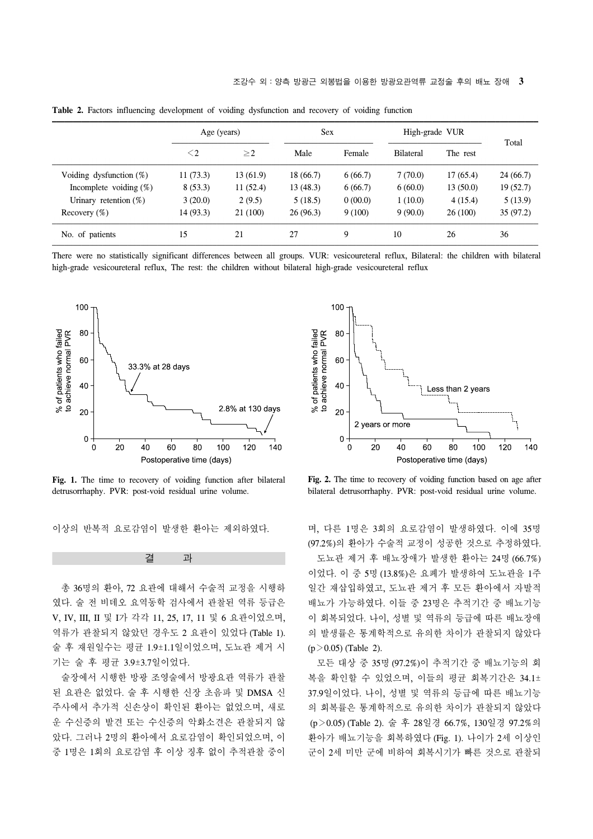|                            | Age (years) |          | <b>Sex</b> |         | High-grade VUR   |          |           |
|----------------------------|-------------|----------|------------|---------|------------------|----------|-----------|
|                            | $\leq$ 2    | $\geq$ 2 | Male       | Female  | <b>Bilateral</b> | The rest | Total     |
| Voiding dysfunction $(\%)$ | 11(73.3)    | 13(61.9) | 18(66.7)   | 6(66.7) | 7(70.0)          | 17(65.4) | 24 (66.7) |
| Incomplete voiding $(\%)$  | 8(53.3)     | 11(52.4) | 13(48.3)   | 6(66.7) | 6(60.0)          | 13(50.0) | 19(52.7)  |
| Urinary retention $(\%)$   | 3(20.0)     | 2(9.5)   | 5(18.5)    | 0(00.0) | 1(10.0)          | 4(15.4)  | 5(13.9)   |
| Recovery $(\%)$            | 14 (93.3)   | 21 (100) | 26(96.3)   | 9(100)  | 9(90.0)          | 26(100)  | 35(97.2)  |
| No. of patients            | 15          | 21       | 27         | 9       | 10               | 26       | 36        |

**Table 2.** Factors influencing development of voiding dysfunction and recovery of voiding function

There were no statistically significant differences between all groups. VUR: vesicoureteral reflux, Bilateral: the children with bilateral high-grade vesicoureteral reflux, The rest: the children without bilateral high-grade vesicoureteral reflux



Fig. 1. The time to recovery of voiding function after bilateral detrusorrhaphy. PVR: post-void residual urine volume.

이상의 반복적 요로감염이 발생한 환아는 제외하였다.

 총 36명의 환아, 72 요관에 대해서 수술적 교정을 시행하 였다. 술 전 비데오 요역동학 검사에서 관찰된 역류 등급은 V, IV, III, II 및 I가 각각 11, 25, 17, 11 및 6 요관이었으며, 역류가 관찰되지 않았던 경우도 2 요관이 있었다 (Table 1). 술 후 재원일수는 평균 1.9±1.1일이었으며, 도뇨관 제거 시 기는 술 후 평균 3.9±3.7일이었다.

결 과

 술장에서 시행한 방광 조영술에서 방광요관 역류가 관찰 된 요관은 없었다. 술 후 시행한 신장 초음파 및 DMSA 신 주사에서 추가적 신손상이 확인된 환아는 없었으며, 새로 운 수신증의 발견 또는 수신증의 악화소견은 관찰되지 않 았다. 그러나 2명의 환아에서 요로감염이 확인되었으며, 이 중 1명은 1회의 요로감염 후 이상 징후 없이 추적관찰 중이



**Fig. 2.** The time to recovery of voiding function based on age after bilateral detrusorrhaphy. PVR: post-void residual urine volume.

며, 다른 1명은 3회의 요로감염이 발생하였다. 이에 35명 (97.2%)의 환아가 수술적 교정이 성공한 것으로 추정하였다. 도뇨관 제거 후 배뇨장애가 발생한 환아는 24명 (66.7%) 이었다. 이 중 5명 (13.8%)은 요폐가 발생하여 도뇨관을 1주 일간 재삽입하였고, 도뇨관 제거 후 모든 환아에서 자발적 배뇨가 가능하였다. 이들 중 23명은 추적기간 중 배뇨기능 이 회복되었다. 나이, 성별 및 역류의 등급에 따른 배뇨장애 의 발생률은 통계학적으로 유의한 차이가 관찰되지 않았다  $(p > 0.05)$  (Table 2).

 모든 대상 중 35명 (97.2%)이 추적기간 중 배뇨기능의 회 복을 확인할 수 있었으며, 이들의 평균 회복기간은 34.1± 37.9일이었다. 나이, 성별 및 역류의 등급에 따른 배뇨기능 의 회복률은 통계학적으로 유의한 차이가 관찰되지 않았다 (p>0.05) (Table 2). 술 후 28일경 66.7%, 130일경 97.2%의 환아가 배뇨기능을 회복하였다 (Fig. 1). 나이가 2세 이상인 군이 2세 미만 군에 비하여 회복시기가 빠른 것으로 관찰되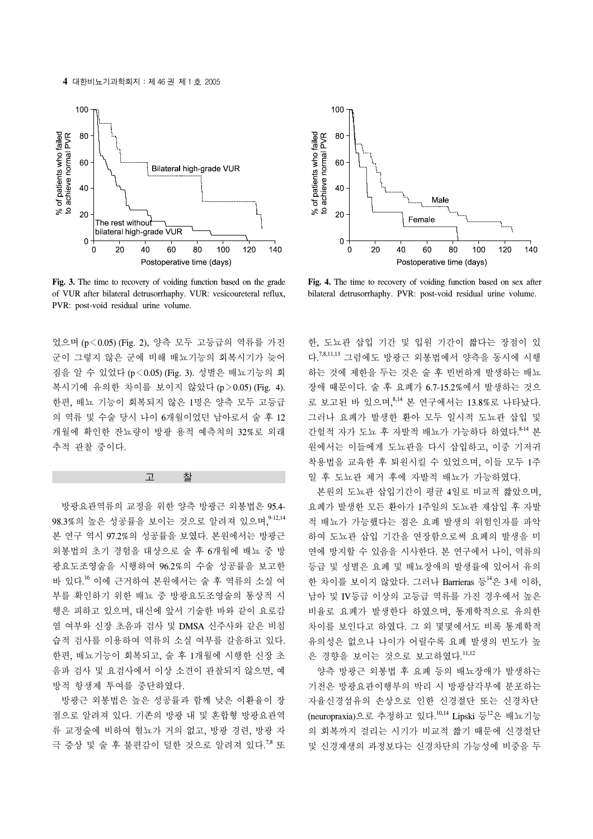**4** 대한비뇨기과학회지:제 46 권 제 1 호 2005



Fig. 3. The time to recovery of voiding function based on the grade of VUR after bilateral detrusorrhaphy. VUR: vesicoureteral reflux, PVR: post-void residual urine volume.

었으며 (p<0.05) (Fig. 2), 양측 모두 고등급의 역류를 가진 군이 그렇지 않은 군에 비해 배뇨기능의 회복시기가 늦어 짐을 알 수 있었다 (p<0.05) (Fig. 3). 성별은 배뇨기능의 회 복시기에 유의한 차이를 보이지 않았다 (p>0.05) (Fig. 4). 한편, 배뇨 기능이 회복되지 않은 1명은 양측 모두 고등급 의 역류 및 수술 당시 나이 6개월이었던 남아로서 술 후 12 개월에 확인한 잔뇨량이 방광 용적 예측치의 32%로 외래 추적 관찰 중이다.

#### 고 찰

 방광요관역류의 교정을 위한 양측 방광근 외봉법은 95.4- 98.3%의 높은 성공률을 보이는 것으로 알려져 있으며,<sup>9-12,14</sup> 본 연구 역시 97.2%의 성공률을 보였다. 본원에서는 방광근 외봉법의 초기 경험을 대상으로 술 후 6개월에 배뇨 중 방 광요도조영술을 시행하여 96.2%의 수술 성공률을 보고한 바 있다. <sup>16</sup>이에 근거하여 본원에서는 술 후 역류의 소실 여 부를 확인하기 위한 배뇨 중 방광요도조영술의 통상적 시 행은 피하고 있으며, 대신에 앞서 기술한 바와 같이 요로감 염 여부와 신장 초음파 검사 및 DMSA 신주사와 같은 비침 습적 검사를 이용하여 역류의 소실 여부를 갈음하고 있다. 한편, 배뇨기능이 회복되고, 술 후 1개월에 시행한 신장 초 음파 검사 및 요검사에서 이상 소견이 관찰되지 않으면, 예 방적 항생제 투여를 중단하였다.

 방광근 외봉법은 높은 성공률과 함께 낮은 이환율이 장 점으로 알려져 있다. 기존의 방광 내 및 혼합형 방광요관역 류 교정술에 비하여 혈뇨가 거의 없고, 방광 경련, 방광 자 극 증상 및 술 후 불편감이 덜한 것으로 알려져 있다.<sup>7,8</sup> 또



**Fig. 4.** The time to recovery of voiding function based on sex after bilateral detrusorrhaphy. PVR: post-void residual urine volume.

한, 도뇨관 삽입 기간 및 입원 기간이 짧다는 장점이 있 다. 7,8,11,13 그럼에도 방광근 외봉법에서 양측을 동시에 시행 하는 것에 제한을 두는 것은 술 후 빈번하게 발생하는 배뇨 장애 때문이다. 술 후 요폐가 6.7-15.2%에서 발생하는 것으 로 보고된 바 있으며, 8,14 본 연구에서는 13.8%로 나타났다. 그러나 요폐가 발생한 환아 모두 일시적 도뇨관 삽입 및 간헐적 자가 도뇨 후 자발적 배뇨가 가능하다 하였다. 8-14 본 원에서는 이들에게 도뇨관을 다시 삽입하고, 이중 기저귀 착용법을 교육한 후 퇴원시킬 수 있었으며, 이들 모두 1주 일 후 도뇨관 제거 후에 자발적 배뇨가 가능하였다.

 본원의 도뇨관 삽입기간이 평균 4일로 비교적 짧았으며, 요폐가 발생한 모든 환아가 1주일의 도뇨관 재삽입 후 자발 적 배뇨가 가능했다는 점은 요폐 발생의 위험인자를 파악 하여 도뇨관 삽입 기간을 연장함으로써 요폐의 발생을 미 연에 방지할 수 있음을 시사한다. 본 연구에서 나이, 역류의 등급 및 성별은 요폐 및 배뇨장애의 발생률에 있어서 유의 한 차이를 보이지 않았다. 그러나 Barrieras 등 $^{14}$ 은 3세 이하, 남아 및 IV등급 이상의 고등급 역류를 가진 경우에서 높은 비율로 요폐가 발생한다 하였으며, 통계학적으로 유의한 차이를 보인다고 하였다. 그 외 몇몇에서도 비록 통계학적 유의성은 없으나 나이가 어릴수록 요폐 발생의 빈도가 높 은 경향을 보이는 것으로 보고하였다.<sup>11,12</sup>

 양측 방광근 외봉법 후 요폐 등의 배뇨장애가 발생하는 기전은 방광요관이행부의 박리 시 방광삼각부에 분포하는 자율신경섬유의 손상으로 인한 신경절단 또는 신경차단 (neuropraxia)으로 추정하고 있다.<sup>10,14</sup> Lipski 등<sup>12</sup>은 배뇨기능 의 회복까지 걸리는 시기가 비교적 짧기 때문에 신경절단 및 신경재생의 과정보다는 신경차단의 가능성에 비중을 두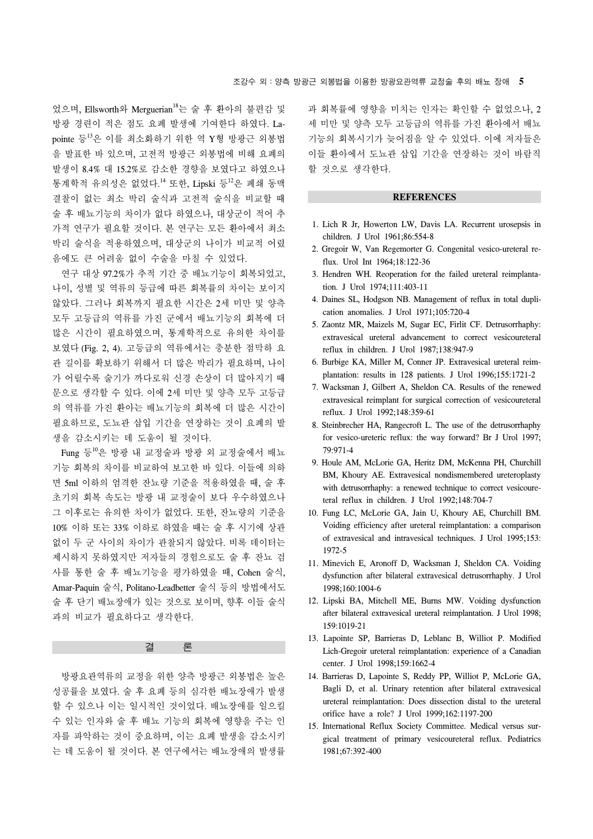었으며, Ellsworth와 Merguerian18는 술 후 환아의 불편감 및 방광 경련이 적은 점도 요폐 발생에 기여한다 하였다. Lapointe 등 <sup>13</sup>은 이를 최소화하기 위한 역 Y형 방광근 외봉법 을 발표한 바 있으며, 고전적 방광근 외봉법에 비해 요폐의 발생이 8.4% 대 15.2%로 감소한 경향을 보였다고 하였으나 통계학적 유의성은 없었다.<sup>14</sup> 또한, Lipski 등<sup>12</sup>은 폐쇄 동맥 결찰이 없는 최소 박리 술식과 고전적 술식을 비교할 때 술 후 배뇨기능의 차이가 없다 하였으나, 대상군이 적어 추 가적 연구가 필요할 것이다. 본 연구는 모든 환아에서 최소 박리 술식을 적용하였으며, 대상군의 나이가 비교적 어렸 음에도 큰 어려움 없이 수술을 마칠 수 있었다.

 연구 대상 97.2%가 추적 기간 중 배뇨기능이 회복되었고, 나이, 성별 및 역류의 등급에 따른 회복률의 차이는 보이지 않았다. 그러나 회복까지 필요한 시간은 2세 미만 및 양측 모두 고등급의 역류를 가진 군에서 배뇨기능의 회복에 더 많은 시간이 필요하였으며, 통계학적으로 유의한 차이를 보였다 (Fig. 2, 4). 고등급의 역류에서는 충분한 점막하 요 관 길이를 확보하기 위해서 더 많은 박리가 필요하며, 나이 가 어릴수록 술기가 까다로워 신경 손상이 더 많아지기 때 문으로 생각할 수 있다. 이에 2세 미만 및 양측 모두 고등급 의 역류를 가진 환아는 배뇨기능의 회복에 더 많은 시간이 필요하므로, 도뇨관 삽입 기간을 연장하는 것이 요폐의 발 생을 감소시키는 데 도움이 될 것이다.

Fung 등 $^{10}$ 은 방광 내 교정술과 방광 외 교정술에서 배뇨 기능 회복의 차이를 비교하여 보고한 바 있다. 이들에 의하 면 5ml 이하의 엄격한 잔뇨량 기준을 적용하였을 때, 술 후 초기의 회복 속도는 방광 내 교정술이 보다 우수하였으나 그 이후로는 유의한 차이가 없었다. 또한, 잔뇨량의 기준을 10% 이하 또는 33% 이하로 하였을 때는 술 후 시기에 상관 없이 두 군 사이의 차이가 관찰되지 않았다. 비록 데이터는 제시하지 못하였지만 저자들의 경험으로도 술 후 잔뇨 검 사를 통한 술 후 배뇨기능을 평가하였을 때, Cohen 술식, Amar-Paquin 술식, Politano-Leadbetter 술식 등의 방법에서도 술 후 단기 배뇨장애가 있는 것으로 보이며, 향후 이들 술식 과의 비교가 필요하다고 생각한다.

결 론

 방광요관역류의 교정을 위한 양측 방광근 외봉법은 높은 성공률을 보였다. 술 후 요폐 등의 심각한 배뇨장애가 발생 할 수 있으나 이는 일시적인 것이었다. 배뇨장애를 일으킬 수 있는 인자와 술 후 배뇨 기능의 회복에 영향을 주는 인 자를 파악하는 것이 중요하며, 이는 요폐 발생을 감소시키 는 데 도움이 될 것이다. 본 연구에서는 배뇨장애의 발생률

과 회복률에 영향을 미치는 인자는 확인할 수 없었으나, 2 세 미만 및 양측 모두 고등급의 역류를 가진 환아에서 배뇨 기능의 회복시기가 늦어짐을 알 수 있었다. 이에 저자들은 이들 환아에서 도뇨관 삽입 기간을 연장하는 것이 바람직 할 것으로 생각한다.

#### **REFERENCES**

- 1. Lich R Jr, Howerton LW, Davis LA. Recurrent urosepsis in children. J Urol 1961;86:554-8
- 2. Gregoir W, Van Regemorter G. Congenital vesico-ureteral reflux. Urol Int 1964;18:122-36
- 3. Hendren WH. Reoperation for the failed ureteral reimplantation. J Urol 1974;111:403-11
- 4. Daines SL, Hodgson NB. Management of reflux in total duplication anomalies. J Urol 1971;105:720-4
- 5. Zaontz MR, Maizels M, Sugar EC, Firlit CF. Detrusorrhaphy: extravesical ureteral advancement to correct vesicoureteral reflux in children. J Urol 1987;138:947-9
- 6. Burbige KA, Miller M, Conner JP. Extravesical ureteral reimplantation: results in 128 patients. J Urol 1996;155:1721-2
- 7. Wacksman J, Gilbert A, Sheldon CA. Results of the renewed extravesical reimplant for surgical correction of vesicoureteral reflux. J Urol 1992;148:359-61
- 8. Steinbrecher HA, Rangecroft L. The use of the detrusorrhaphy for vesico-ureteric reflux: the way forward? Br J Urol 1997; 79:971-4
- 9. Houle AM, McLorie GA, Heritz DM, McKenna PH, Churchill BM, Khoury AE. Extravesical nondismembered ureteroplasty with detrusorrhaphy: a renewed technique to correct vesicoureteral reflux in children. J Urol 1992;148:704-7
- 10. Fung LC, McLorie GA, Jain U, Khoury AE, Churchill BM. Voiding efficiency after ureteral reimplantation: a comparison of extravesical and intravesical techniques. J Urol 1995;153: 1972-5
- 11. Minevich E, Aronoff D, Wacksman J, Sheldon CA. Voiding dysfunction after bilateral extravesical detrusorrhaphy. J Urol 1998;160:1004-6
- 12. Lipski BA, Mitchell ME, Burns MW. Voiding dysfunction after bilateral extravesical ureteral reimplantation. J Urol 1998; 159:1019-21
- 13. Lapointe SP, Barrieras D, Leblanc B, Williot P. Modified Lich-Gregoir ureteral reimplantation: experience of a Canadian center. J Urol 1998;159:1662-4
- 14. Barrieras D, Lapointe S, Reddy PP, Williot P, McLorie GA, Bagli D, et al. Urinary retention after bilateral extravesical ureteral reimplantation: Does dissection distal to the ureteral orifice have a role? J Urol 1999;162:1197-200
- 15. International Reflux Society Committee. Medical versus surgical treatment of primary vesicoureteral reflux. Pediatrics 1981;67:392-400